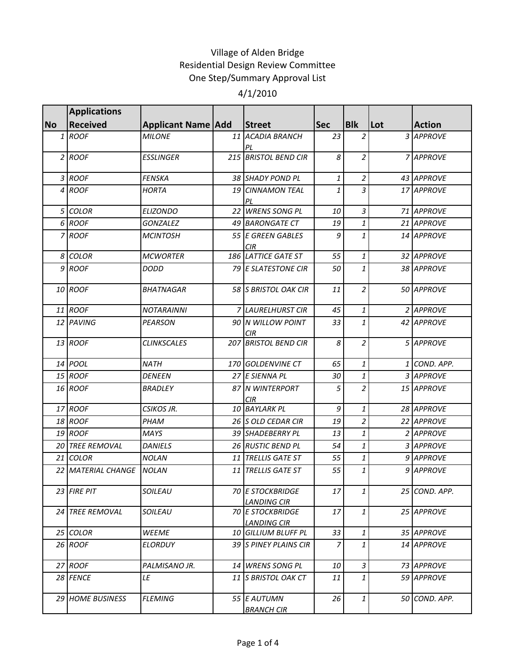# Village of Alden Bridge Residential Design Review Committee One Step/Summary Approval List

## 4/1/2010

|              | <b>Applications</b> |                           |                                               |                |                |     |               |
|--------------|---------------------|---------------------------|-----------------------------------------------|----------------|----------------|-----|---------------|
| <b>No</b>    | <b>Received</b>     | <b>Applicant Name Add</b> | Street                                        | <b>Sec</b>     | <b>B</b> lk    | Lot | <b>Action</b> |
| $\mathbf{1}$ | ROOF                | <b>MILONE</b>             | 11 ACADIA BRANCH<br>PL                        | 23             | $\overline{2}$ |     | 3 APPROVE     |
|              | $2$ ROOF            | <b>ESSLINGER</b>          | 215 BRISTOL BEND CIR                          | 8              | $\overline{2}$ |     | 7 APPROVE     |
|              | 3 ROOF              | <b>FENSKA</b>             | 38 SHADY POND PL                              | 1              | $\overline{a}$ |     | 43 APPROVE    |
|              | 4 ROOF              | <b>HORTA</b>              | <b>19 CINNAMON TEAL</b><br>PL                 | $\mathbf{1}$   | $\mathfrak{Z}$ |     | 17 APPROVE    |
|              | 5 COLOR             | <b>ELIZONDO</b>           | 22 WRENS SONG PL                              | 10             | $\overline{3}$ |     | 71 APPROVE    |
|              | 6 ROOF              | <i>GONZALEZ</i>           | 49 BARONGATE CT                               | 19             | $\mathbf{1}$   |     | 21 APPROVE    |
|              | 7 ROOF              | <b>MCINTOSH</b>           | 55 E GREEN GABLES<br><b>CIR</b>               | 9              | $\mathbf{1}$   |     | 14 APPROVE    |
|              | 8 COLOR             | <b>MCWORTER</b>           | 186 LATTICE GATE ST                           | 55             | $\mathbf{1}$   |     | 32 APPROVE    |
|              | $9$ ROOF            | DODD                      | <b>79 E SLATESTONE CIR</b>                    | 50             | $\mathbf{1}$   |     | 38 APPROVE    |
|              | 10 ROOF             | <b>BHATNAGAR</b>          | 58 S BRISTOL OAK CIR                          | 11             | $\overline{2}$ |     | 50 APPROVE    |
|              | 11 ROOF             | <b>NOTARAINNI</b>         | 7 LAURELHURST CIR                             | 45             | $\mathbf{1}$   |     | 2 APPROVE     |
|              | 12 PAVING           | <b>PEARSON</b>            | 90 N WILLOW POINT<br><b>CIR</b>               | 33             | $\mathbf{1}$   |     | 42 APPROVE    |
|              | 13 ROOF             | <b>CLINKSCALES</b>        | <b>207 BRISTOL BEND CIR</b>                   | 8              | $\overline{2}$ |     | 5 APPROVE     |
|              | 14 POOL             | <b>NATH</b>               | 170 GOLDENVINE CT                             | 65             | $\mathbf{1}$   |     | 1 COND. APP.  |
|              | 15 ROOF             | <b>DENEEN</b>             | 27 E SIENNA PL                                | 30             | $\mathbf{1}$   |     | 3 APPROVE     |
|              | 16 ROOF             | <b>BRADLEY</b>            | 87 N WINTERPORT<br><b>CIR</b>                 | 5              | $\overline{2}$ |     | 15 APPROVE    |
|              | 17 ROOF             | CSIKOS JR.                | 10 BAYLARK PL                                 | 9              | $\mathbf{1}$   |     | 28 APPROVE    |
|              | 18 ROOF             | PHAM                      | 26 S OLD CEDAR CIR                            | 19             | $\overline{a}$ |     | 22 APPROVE    |
|              | 19 ROOF             | <b>MAYS</b>               | 39 SHADEBERRY PL                              | 13             | $\mathbf{1}$   |     | 2 APPROVE     |
|              | 20 TREE REMOVAL     | <b>DANIELS</b>            | 26 RUSTIC BEND PL                             | 54             | $\mathbf{1}$   |     | 3 APPROVE     |
|              | 21 COLOR            | <b>NOLAN</b>              | 11 TRELLIS GATE ST                            | 55             | $\mathbf{1}$   |     | 9 APPROVE     |
|              | 22 MATERIAL CHANGE  | <b>NOLAN</b>              | 11 TRELLIS GATE ST                            | 55             | $\mathbf{1}$   |     | 9 APPROVE     |
|              | 23 FIRE PIT         | SOILEAU                   | <b>70 E STOCKBRIDGE</b><br><b>LANDING CIR</b> | 17             | 1              |     | 25 COND. APP. |
|              | 24 TREE REMOVAL     | SOILEAU                   | <b>70 E STOCKBRIDGE</b><br><b>LANDING CIR</b> | 17             | 1              |     | 25 APPROVE    |
|              | 25 COLOR            | <b>WEEME</b>              | 10 GILLIUM BLUFF PL                           | 33             | 1              |     | 35 APPROVE    |
|              | 26 ROOF             | <b>ELORDUY</b>            | 39 S PINEY PLAINS CIR                         | $\overline{z}$ | $\mathbf{1}$   |     | 14 APPROVE    |
|              | 27 ROOF             | PALMISANO JR.             | 14 WRENS SONG PL                              | 10             | 3              |     | 73 APPROVE    |
|              | 28 FENCE            | LE                        | 11 S BRISTOL OAK CT                           | 11             | 1              |     | 59 APPROVE    |
|              | 29 HOME BUSINESS    | <b>FLEMING</b>            | 55 E AUTUMN<br><b>BRANCH CIR</b>              | 26             | $\mathbf{1}$   |     | 50 COND. APP. |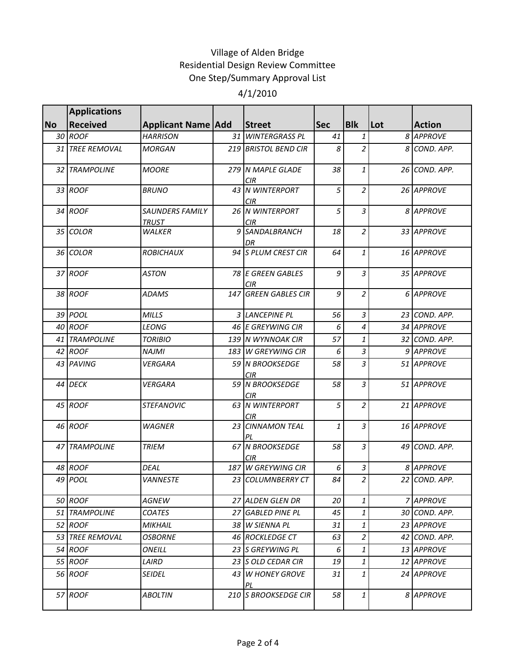### Village of Alden Bridge Residential Design Review Committee One Step/Summary Approval List 4/1/2010

|           | <b>Applications</b> |                                        |      |                                 |            |                |     |               |
|-----------|---------------------|----------------------------------------|------|---------------------------------|------------|----------------|-----|---------------|
| <b>No</b> | <b>Received</b>     | <b>Applicant Name Add</b>              |      | <b>Street</b>                   | <b>Sec</b> | <b>Blk</b>     | Lot | <b>Action</b> |
|           | 30 ROOF             | <b>HARRISON</b>                        |      | 31 WINTERGRASS PL               | 41         | 1              |     | 8 APPROVE     |
|           | 31 TREE REMOVAL     | <b>MORGAN</b>                          |      | 219 BRISTOL BEND CIR            | 8          | $\overline{2}$ | 8   | COND. APP.    |
|           | 32 TRAMPOLINE       | <b>MOORE</b>                           |      | 279 N MAPLE GLADE<br><b>CIR</b> | 38         | 1              |     | 26 COND. APP. |
|           | 33 ROOF             | <b>BRUNO</b>                           |      | 43 N WINTERPORT<br><b>CIR</b>   | 5          | 2              |     | 26 APPROVE    |
|           | 34 ROOF             | <b>SAUNDERS FAMILY</b><br><b>TRUST</b> |      | 26 N WINTERPORT<br><b>CIR</b>   | 5          | 3              |     | 8 APPROVE     |
|           | 35 COLOR            | <b>WALKER</b>                          |      | 9 SANDALBRANCH<br>DR            | 18         | $\overline{2}$ |     | 33 APPROVE    |
|           | 36 COLOR            | <b>ROBICHAUX</b>                       |      | 94 S PLUM CREST CIR             | 64         | 1              |     | 16 APPROVE    |
|           | 37 ROOF             | ASTON                                  |      | 78 E GREEN GABLES<br><b>CIR</b> | 9          | 3              |     | 35 APPROVE    |
|           | 38 ROOF             | <b>ADAMS</b>                           |      | 147 GREEN GABLES CIR            | 9          | $\overline{a}$ |     | 6 APPROVE     |
|           | 39 POOL             | <b>MILLS</b>                           |      | 3 LANCEPINE PL                  | 56         | $\mathfrak{Z}$ |     | 23 COND. APP. |
|           | 40 ROOF             | <b>LEONG</b>                           |      | 46 E GREYWING CIR               | 6          | 4              |     | 34 APPROVE    |
|           | 41 TRAMPOLINE       | <b>TORIBIO</b>                         |      | 139 N WYNNOAK CIR               | 57         | 1              |     | 32 COND. APP. |
|           | 42 ROOF             | <b>NAJMI</b>                           |      | 183 W GREYWING CIR              | 6          | 3              |     | 9 APPROVE     |
|           | 43 PAVING           | <b>VERGARA</b>                         |      | 59 N BROOKSEDGE<br>CIR          | 58         | 3              |     | 51 APPROVE    |
|           | 44 DECK             | <b>VERGARA</b>                         |      | 59 N BROOKSEDGE<br>CIR          | 58         | 3              |     | 51 APPROVE    |
|           | 45 ROOF             | <b>STEFANOVIC</b>                      |      | 63 N WINTERPORT<br>CIR          | 5          | $\overline{2}$ |     | 21 APPROVE    |
|           | 46 ROOF             | WAGNER                                 | 23   | <b>CINNAMON TEAL</b>            | 1          | 3              |     | 16 APPROVE    |
|           | 47 TRAMPOLINE       | <b>TRIEM</b>                           |      | <b>67 N BROOKSEDGE</b><br>CIR   | 58         | $\overline{3}$ | 49  | COND. APP.    |
|           | 48 ROOF             | DEAL                                   | 1871 | W GREYWING CIR                  | 6          | 3              |     | 8 APPROVE     |
|           | 49 POOL             | <b>VANNESTE</b>                        |      | 23 COLUMNBERRY CT               | 84         | $\overline{a}$ |     | 22 COND. APP. |
|           | 50 ROOF             | AGNEW                                  |      | 27 ALDEN GLEN DR                | 20         | 1              |     | 7 APPROVE     |
|           | 51 TRAMPOLINE       | <b>COATES</b>                          |      | 27 GABLED PINE PL               | 45         | 1              |     | 30 COND. APP. |
|           | 52 ROOF             | <b>MIKHAIL</b>                         |      | 38 W SIENNA PL                  | 31         | 1              |     | 23 APPROVE    |
|           | 53 TREE REMOVAL     | <b>OSBORNE</b>                         |      | 46 ROCKLEDGE CT                 | 63         | 2              |     | 42 COND. APP. |
|           | 54 ROOF             | ONEILL                                 |      | 23 S GREYWING PL                | 6          | 1              |     | 13 APPROVE    |
|           | 55 ROOF             | LAIRD                                  |      | 23 S OLD CEDAR CIR              | 19         | 1              |     | 12 APPROVE    |
|           | 56 ROOF             | <i>SEIDEL</i>                          |      | 43 W HONEY GROVE<br>ΡL          | 31         | 1              |     | 24 APPROVE    |
|           | 57 ROOF             | <b>ABOLTIN</b>                         |      | 210 S BROOKSEDGE CIR            | 58         | 1              |     | 8 APPROVE     |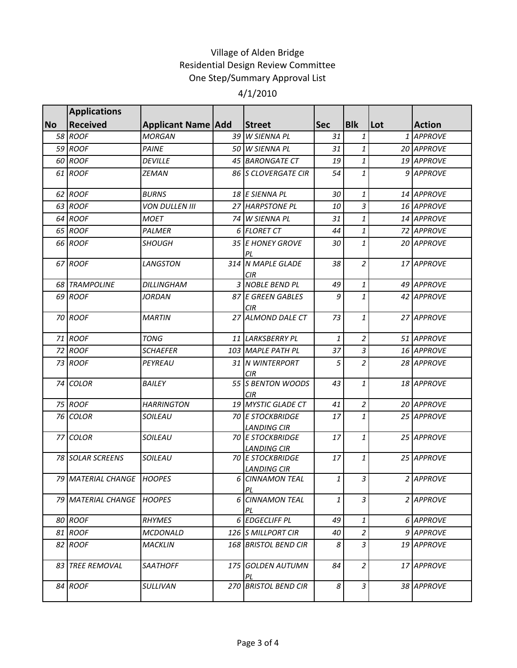## Village of Alden Bridge Residential Design Review Committee One Step/Summary Approval List

### 4/1/2010

|           | <b>Applications</b>       |                           |                                               |            |                |            |                  |
|-----------|---------------------------|---------------------------|-----------------------------------------------|------------|----------------|------------|------------------|
| <b>No</b> | <b>Received</b>           | <b>Applicant Name Add</b> | Street                                        | <b>Sec</b> | <b>B</b> lk    | <b>Lot</b> | <b>Action</b>    |
|           | 58 ROOF                   | <b>MORGAN</b>             | 39 W SIENNA PL                                | 31         | $\mathbf{1}$   |            | 1 APPROVE        |
|           | 59 ROOF                   | <b>PAINE</b>              | 50 W SIENNA PL                                | 31         | $\mathbf{1}$   |            | 20 APPROVE       |
|           | 60 ROOF                   | <b>DEVILLE</b>            | 45 BARONGATE CT                               | 19         | $\mathbf{1}$   |            | 19 APPROVE       |
|           | 61 ROOF                   | ZEMAN                     | <b>86 IS CLOVERGATE CIR</b>                   | 54         | 1              |            | 9 APPROVE        |
|           | 62 ROOF                   | <b>BURNS</b>              | 18 E SIENNA PL                                | 30         | $\mathbf{1}$   |            | 14 APPROVE       |
|           | 63 ROOF                   | <b>VON DULLEN III</b>     | 27 HARPSTONE PL                               | 10         | $\mathfrak{Z}$ |            | 16 APPROVE       |
|           | 64 ROOF                   | <b>MOET</b>               | 74 W SIENNA PL                                | 31         | 1              |            | 14 APPROVE       |
|           | 65 ROOF                   | <b>PALMER</b>             | 6 FLORET CT                                   | 44         | $\mathbf{1}$   |            | 72 APPROVE       |
|           | 66 ROOF                   | <b>SHOUGH</b>             | 35 E HONEY GROVE<br>PL                        | 30         | $\mathbf{1}$   |            | 20 APPROVE       |
|           | 67 ROOF                   | LANGSTON                  | 314 N MAPLE GLADE<br>CIR.                     | 38         | $\overline{a}$ |            | 17 APPROVE       |
|           | <b>68 TRAMPOLINE</b>      | <b>DILLINGHAM</b>         | 3 NOBLE BEND PL                               | 49         | 1              |            | 49 APPROVE       |
|           | 69 ROOF                   | <b>JORDAN</b>             | 87 E GREEN GABLES<br><b>CIR</b>               | 9          | $\mathbf{1}$   |            | 42 APPROVE       |
|           | 70 ROOF                   | <b>MARTIN</b>             | 27 ALMOND DALE CT                             | 73         | 1              |            | 27 APPROVE       |
|           | 71 ROOF                   | <b>TONG</b>               | 11 LARKSBERRY PL                              | 1          | $\overline{2}$ |            | 51 APPROVE       |
|           | 72 ROOF                   | <b>SCHAEFER</b>           | 103 MAPLE PATH PL                             | 37         | $\mathfrak{Z}$ |            | 16 APPROVE       |
|           | 73 ROOF                   | PEYREAU                   | 31 N WINTERPORT<br><b>CIR</b>                 | 5          | $\overline{a}$ |            | 28 APPROVE       |
|           | 74 COLOR                  | <b>BAILEY</b>             | 55 S BENTON WOODS<br>CIR                      | 43         | $\mathbf{1}$   |            | 18 APPROVE       |
|           | 75 ROOF                   | <b>HARRINGTON</b>         | 19 MYSTIC GLADE CT                            | 41         | $\overline{a}$ |            | 20 APPROVE       |
|           | 76 COLOR                  | SOILEAU                   | <b>70 E STOCKBRIDGE</b><br><b>LANDING CIR</b> | 17         | $\mathbf{1}$   |            | 25 APPROVE       |
|           | 77 COLOR                  | SOILEAU                   | <b>70 E STOCKBRIDGE</b><br><b>LANDING CIR</b> | 17         | $\mathbf{1}$   |            | 25 APPROVE       |
|           | 78 SOLAR SCREENS          | SOILEAU                   | <b>70 E STOCKBRIDGE</b><br><b>LANDING CIR</b> | 17         | $\mathbf{1}$   |            | 25 APPROVE       |
|           | 79 MATERIAL CHANGE HOOPES |                           | 6 CINNAMON TEAL<br>PL                         | 1          | $\mathfrak{Z}$ |            | 2 APPROVE        |
|           | 79 MATERIAL CHANGE        | <b>HOOPES</b>             | <b>6 CINNAMON TEAL</b><br>PL                  | 1          | 3              |            | 2 APPROVE        |
|           | 80 ROOF                   | <b>RHYMES</b>             | 6 EDGECLIFF PL                                | 49         | $\mathbf{1}$   |            | <b>6 APPROVE</b> |
|           | 81 ROOF                   | MCDONALD                  | 126 IS MILLPORT CIR                           | 40         | 2              |            | 9 APPROVE        |
|           | 82 ROOF                   | <b>MACKLIN</b>            | 168 BRISTOL BEND CIR                          | 8          | $\overline{3}$ |            | 19 APPROVE       |
|           | 83 TREE REMOVAL           | <b>SAATHOFF</b>           | 175 GOLDEN AUTUMN<br>PL                       | 84         | $\overline{a}$ |            | 17 APPROVE       |
|           | 84 ROOF                   | SULLIVAN                  | 270 BRISTOL BEND CIR                          | 8          | $\overline{3}$ |            | 38 APPROVE       |